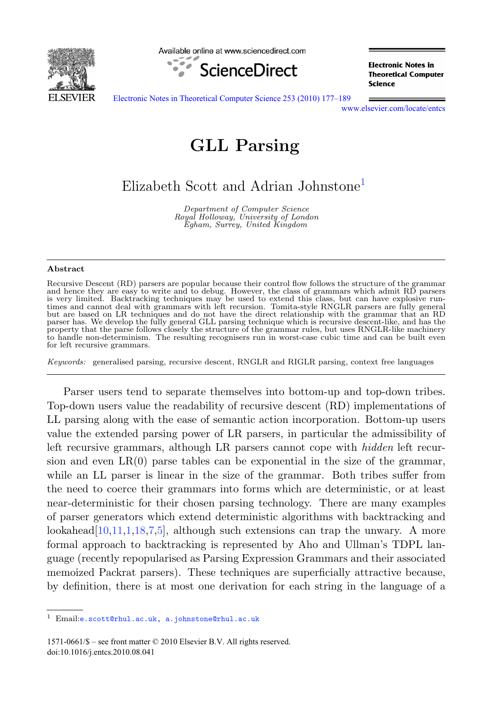

Available online at www.sciencedirect.com



**Electronic Notes in Theoretical Computer Science** 

Electronic Notes in Theoretical Computer Science 253 (2010) 177–189

www.elsevier.com/locate/entcs

# **GLL Parsing**

# Elizabeth Scott and Adrian Johnstone<sup>1</sup>

Department of Computer Science Royal Holloway, University of London Egham, Surrey, United Kingdom

#### **Abstract**

Recursive Descent (RD) parsers are popular because their control flow follows the structure of the grammar and hence they are easy to write and to debug. However, the class of grammars which admit RD parsers is very limited. Backtracking techniques may be used to extend this class, but can have explosive runtimes and cannot deal with grammars with left recursion. Tomita-style RNGLR parsers are fully general but are based on LR techniques and do not have the direct relationship with the grammar that an RD parser has. We develop the fully general GLL parsing technique which is recursive descent-like, and has the property that the parse follows closely the structure of the grammar rules, but uses RNGLR-like machinery to handle non-determinism. The resulting recognisers run in worst-case cubic time and can be built even for left recursive grammars.

Keywords: generalised parsing, recursive descent, RNGLR and RIGLR parsing, context free languages

Parser users tend to separate themselves into bottom-up and top-down tribes. Top-down users value the readability of recursive descent (RD) implementations of LL parsin[g](#page-12-0) [along](#page-12-0) [with](#page-12-0) [th](#page-12-0)e ease of semantic action incorporation. Bottom-up users value the extended parsing power of LR parsers, in particular the admissibility of left recursive grammars, although LR parsers cannot cope with *hidden* left recursion and even  $LR(0)$  parse tables can be exponential in the size of the grammar, while an LL parser is linear in the size of the grammar. Both tribes suffer from the need to coerce their grammars into forms which are deterministic, or at least near-d[eterministic for their chosen parsing t](mailto:e.scott@rhul.ac.uk, a.johnstone@rhul.ac.uk)echnology. There are many examples of parser generators which extend deterministic algorithms with backtracking and lookahead $[10,11,1,18,7,5]$ , although such extensions can trap the unwary. A more formal approach to backtracking is represented by Aho and Ullman's TDPL language (recently repopularised as Parsing Expression Grammars and their associated memoized Packrat parsers). These techniques are superficially attractive because, by definition, there is at most one derivation for each string in the language of a

<sup>1</sup> Email:e.scott@rhul.ac.uk, a.johnstone@rhul.ac.uk

<sup>1571-0661/\$ –</sup> see front matter © 2010 Elsevier B.V. All rights reserved. doi:10.1016/j.entcs.2010.08.041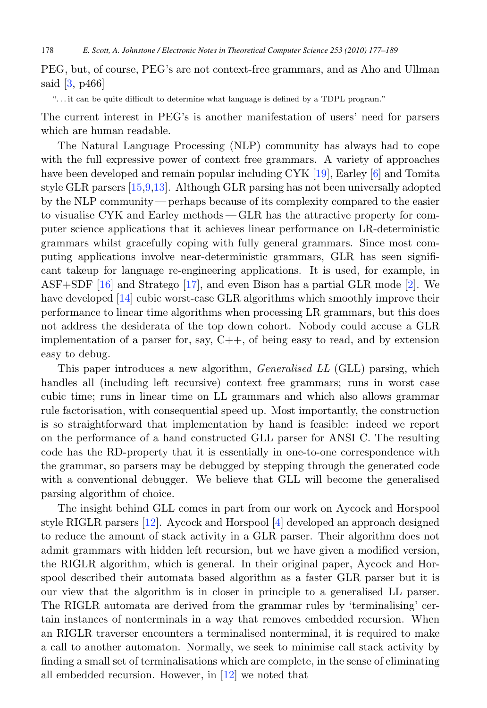PEG, but, of cour[se, PEG](#page-12-0)'s are not context-free grammars, and as Aho and Ullman said [3, p466]

". . . it can be quite difficult to determine what language is defined by a TDPL program."

The current interest in PEG's is another manifestation of users' need for parsers which are human readable.

The Natural Language Processing (NLP) community has always had to cope with the full expressive power of context free grammars. A variety of approaches have been d[eve](#page-12-0)loped and rem[ain](#page-12-0) popular including CYK [19], Earley [6] and [To](#page-12-0)mita style GLR parse[rs](#page-12-0) [\[1](#page-12-0)5,9,13]. Although GLR parsing has not been universally adopted by the NLP community— perhaps because of its complexity compared to the easier to visualise CYK and Earley methods — GLR has the attractive property for computer science applications that it achieves linear performance on LR-deterministic grammars whilst gracefully coping with fully general grammars. Since most computing applications involve near-deterministic grammars, GLR has seen significant takeup for language re-engineering applications. It is used, for example, in ASF+SDF [16] and Stratego [17], and even Bison has a partial GLR mode [2]. We have developed [14] cubic worst-case GLR algorithms which smoothly improve their performance to linear time algorithms when processing LR grammars, but this does not address the desiderata of the top down cohort. Nobody could accuse a GLR implementation of a parser for, say, C++, of being easy to read, and by extension easy to debug.

This paper introduces a new algorithm, Generalised LL (GLL) parsing, which handles all (including left recursive) context free grammars; runs in worst case cubic time; runs in linear time on LL grammars and which also allows grammar rule factorisation, wi[th](#page-12-0) [c](#page-12-0)onsequential speed up. [Mo](#page-12-0)st importantly, the construction is so straightforward that implementation by hand is feasible: indeed we report on the performance of a hand constructed GLL parser for ANSI C. The resulting code has the RD-property that it is essentially in one-to-one correspondence with the grammar, so parsers may be debugged by stepping through the generated code with a conventional debugger. We believe that GLL will become the generalised parsing algorithm of choice.

The insight behind GLL comes in part from our work on Aycock and Horspool style RIGLR parsers [12]. Aycock and Horspool [4] developed an approach designed to reduce the amount of stack activity in a GLR parser. Their algorithm does not admit grammars with hidden left recursion, but we have given a modified version, the RIGLR algorithm, which is gene[ral.](#page-12-0) In their original paper, Aycock and Horspool described their automata based algorithm as a faster GLR parser but it is our view that the algorithm is in closer in principle to a generalised LL parser. The RIGLR automata are derived from the grammar rules by 'terminalising' certain instances of nonterminals in a way that removes embedded recursion. When an RIGLR traverser encounters a terminalised nonterminal, it is required to make a call to another automaton. Normally, we seek to minimise call stack activity by finding a small set of terminalisations which are complete, in the sense of eliminating all embedded recursion. However, in [12] we noted that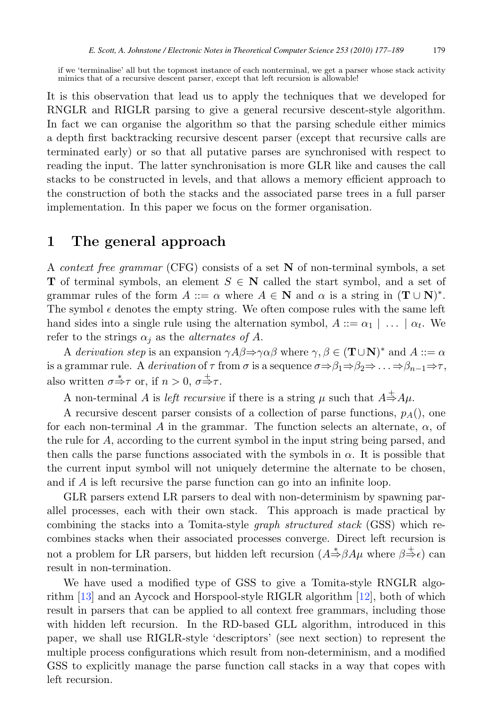if we 'terminalise' all but the topmost instance of each nonterminal, we get a parser whose stack activity mimics that of a recursive descent parser, except that left recursion is allowable!

It is this observation that lead us to apply the techniques that we developed for RNGLR and RIGLR parsing to give a general recursive descent-style algorithm. In fact we can organise the algorithm so that the parsing schedule either mimics a depth first backtracking recursive descent parser (except that recursive calls are terminated early) or so that all putative parses are synchronised with respect to reading the input. The latter synchronisation is more GLR like and causes the call stacks to be constructed in levels, and that allows a memory efficient approach to the construction of both the stacks and the associated parse trees in a full parser implementation. In this paper we focus on the former organisation.

### **1 The general approach**

<sup>A</sup> context free grammar (CFG) consists of a set **N** of non-terminal symbols, a set **T** of terminal symbols, an element  $S \in \mathbb{N}$  called the start symbol, and a set of grammar rules of the form  $A ::= \alpha$  where  $A \in \mathbb{N}$  and  $\alpha$  is a string in  $(\mathbf{T} \cup \mathbf{N})^*$ . The symbol  $\epsilon$  denotes the empty string. We often compose rules with the same left hand sides into a single rule using the alternation symbol,  $A ::= \alpha_1 \mid \ldots \mid \alpha_t$ . We refer to the strings  $\alpha_i$  as the *alternates of A*.

A derivation step is an expansion  $\gamma A \beta \Rightarrow \gamma \alpha \beta$  where  $\gamma, \beta \in (T \cup N)^*$  and  $A ::= \alpha$ is a grammar rule. A *derivation* of  $\tau$  from  $\sigma$  is a sequence  $\sigma \Rightarrow \beta_1 \Rightarrow \beta_2 \Rightarrow \ldots \Rightarrow \beta_{n-1} \Rightarrow \tau$ , also written  $\sigma \stackrel{*}{\Rightarrow} \tau$  or, if  $n > 0$ ,  $\sigma \stackrel{+}{\Rightarrow} \tau$ .

A non-terminal A is *left recursive* if there is a string  $\mu$  such that  $A \stackrel{+}{\Rightarrow} A\mu$ .

A recursive descent parser consists of a collection of parse functions,  $p_A()$ , one for each non-terminal A in the grammar. The function selects an alternate,  $\alpha$ , of the rule for A, according to the current symbol in the input string being parsed, and then calls the parse functions associated with the symbols in  $\alpha$ . It is possible that the current input symbol will not uniquely determine the alternate to be chosen, and if [A](#page-12-0) is left recursive the parse function can go into an infini[te lo](#page-12-0)op.

GLR parsers extend LR parsers to deal with non-determinism by spawning parallel processes, each with their own stack. This approach is made practical by combining the stacks into a Tomita-style graph structured stack (GSS) which recombines stacks when their associated processes converge. Direct left recursion is not a problem for LR parsers, but hidden left recursion  $(A \stackrel{*}{\Rightarrow} \beta A\mu$  where  $\beta \stackrel{+}{\Rightarrow} \epsilon$ ) can result in non-termination.

We have used a modified type of GSS to give a Tomita-style RNGLR algorithm [13] and an Aycock and Horspool-style RIGLR algorithm [12], both of which result in parsers that can be applied to all context free grammars, including those with hidden left recursion. In the RD-based GLL algorithm, introduced in this paper, we shall use RIGLR-style 'descriptors' (see next section) to represent the multiple process configurations which result from non-determinism, and a modified GSS to explicitly manage the parse function call stacks in a way that copes with left recursion.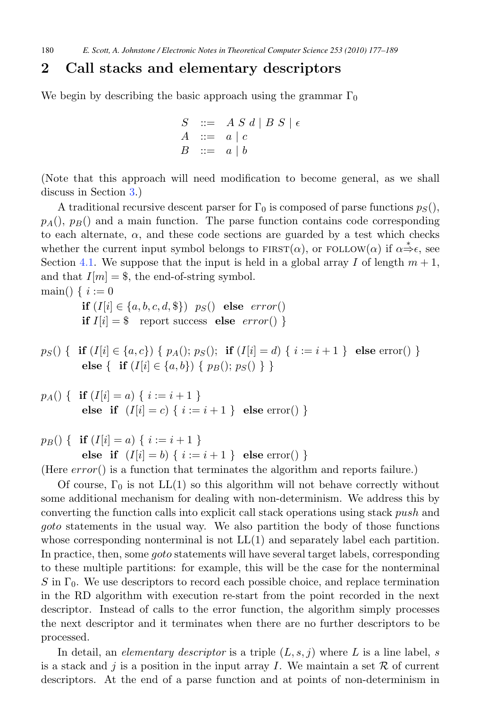# <span id="page-3-0"></span>**2 Call stac[ks](#page-5-0) and elementary descriptors**

We begin by describing the basic approach using the grammar  $\Gamma_0$ 

$$
S \quad ::= \quad A \ S \ d \mid B \ S \mid \epsilon
$$
  

$$
A \quad ::= \quad a \mid c
$$
  

$$
B \quad ::= \quad a \mid b
$$

(Note that this approach will need modification to become general, as we shall discuss in Section 3.)

A traditional recursive descent parser for  $\Gamma_0$  is composed of parse functions  $p_S()$ ,  $p_A()$ ,  $p_B()$  and a main function. The parse function contains code corresponding to each alternate,  $\alpha$ , and these code sections are guarded by a test which checks whether the current input symbol belongs to  $FIRST(\alpha)$ , or  $FOLLOW(\alpha)$  if  $\alpha \stackrel{*}{\Rightarrow} \epsilon$ , see Section 4.1. We suppose that the input is held in a global array I of length  $m+1$ , and that  $I[m] =$  \$, the end-of-string symbol. main() {  $i := 0$ 

**if**  $(I[i] \in \{a, b, c, d, \$\})$   $p_S()$  **else**  $error()$ **if**  $I[i] =$  **\$** report success **else** *error*() }

 $p_S() \{ \textbf{if} (I[i] \in \{a, c\}) \{ p_A(); p_S(); \textbf{if} (I[i] = d) \{ i := i + 1 \} \textbf{else error}() \}$ **else** { **if**  $(I[i] \in \{a, b\})$  {  $p_B()$ ;  $p_S()$  } }

 $p_A() \{ \text{ if } (I[i] = a) \{ i := i + 1 \} \}$ **else if**  $(I[i] = c) \{ i := i + 1 \}$  **else** error() }

 $p_B() \{ \text{ if } (I[i] = a) \{ i := i + 1 \} \}$ **else if**  $(I[i] = b) \{ i := i + 1 \}$  **else** error() }

(Here error() is a function that terminates the algorithm and reports failure.)

Of course,  $\Gamma_0$  is not LL(1) so this algorithm will not behave correctly without some additional mechanism for dealing with non-determinism. We address this by converting the function calls into explicit call stack operations using stack push and goto statements in the usual way. We also partition the body of those functions whose corresponding nonterminal is not  $LL(1)$  and separately label each partition. In practice, then, some *goto* statements will have several target labels, corresponding to these multiple partitions: for example, this will be the case for the nonterminal S in  $\Gamma_0$ . We use descriptors to record each possible choice, and replace termination in the RD algorithm with execution re-start from the point recorded in the next descriptor. Instead of calls to the error function, the algorithm simply processes the next descriptor and it terminates when there are no further descriptors to be processed.

In detail, an *elementary descriptor* is a triple  $(L, s, j)$  where L is a line label, s is a stack and j is a position in the input array I. We maintain a set  $\mathcal R$  of current descriptors. At the end of a parse function and at points of non-determinism in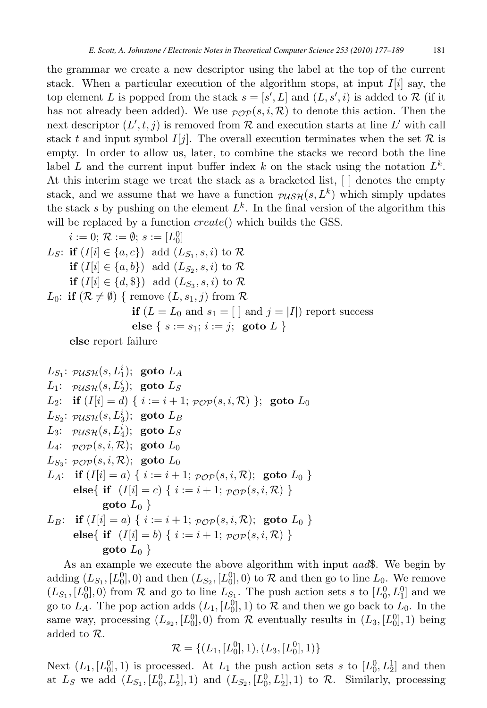the grammar we create a new descriptor using the label at the top of the current stack. When a particular execution of the algorithm stops, at input  $I[i]$  say, the top element L is popped from the stack  $s = [s', L]$  and  $(L, s', i)$  is added to R (if it has not already been added). We use  $p_{\mathcal{OP}}(s, i, \mathcal{R})$  to denote this action. Then the next descriptor  $(L', t, j)$  is removed from R and execution starts at line L' with call stack t and input symbol  $I[j]$ . The overall execution terminates when the set R is empty. In order to allow us, later, to combine the stacks we record both the line label L and the current input buffer index k on the stack using the notation  $L^k$ . At this interim stage we treat the stack as a bracketed list, [ ] denotes the empty stack, and we assume that we have a function  $p_{USH}(s, L^k)$  which simply updates the stack s by pushing on the element  $L^k$ . In the final version of the algorithm this will be replaced by a function *create*() which builds the GSS.

$$
i := 0; \mathcal{R} := \emptyset; s := [L_0^0]
$$
  
\n
$$
L_S: \text{ if } (I[i] \in \{a, c\}) \text{ add } (L_{S_1}, s, i) \text{ to } \mathcal{R}
$$
  
\nif  $(I[i] \in \{a, b\})$  add  $(L_{S_2}, s, i) \text{ to } \mathcal{R}$   
\nif  $(I[i] \in \{d, \S\})$  add  $(L_{S_3}, s, i) \text{ to } \mathcal{R}$   
\n $L_0: \text{ if } (\mathcal{R} \neq \emptyset) \{ \text{ remove } (L, s_1, j) \text{ from } \mathcal{R}$   
\nif  $(L = L_0 \text{ and } s_1 = [\ ] \text{ and } j = |I|)$  report success  
\nelse  $\{ s := s_1; i := j; \text{goto } L \}$ 

**else** report failure

L<sub>S1</sub>: 
$$
p_{USH}(s, L_1^i)
$$
; **goto** L<sub>A</sub>  
\nL<sub>1</sub>:  $p_{USH}(s, L_2^i)$ ; **goto** L<sub>S</sub>  
\nL<sub>2</sub>: **if** ( $I[i] = d$ ) {  $i := i + 1$ ;  $p_{OP}(s, i, R)$  }; **goto** L<sub>0</sub>  
\nL<sub>S2</sub>:  $p_{USH}(s, L_3^i)$ ; **goto** L<sub>B</sub>  
\nL<sub>3</sub>:  $p_{USH}(s, L_4^i)$ ; **goto** L<sub>0</sub>  
\nL<sub>S3</sub>:  $p_{OP}(s, i, R)$ ; **goto** L<sub>0</sub>  
\nL<sub>A</sub>: **if** ( $I[i] = a$ ) {  $i := i + 1$ ;  $p_{OP}(s, i, R)$ ; **goto** L<sub>0</sub> }  
\n**else**{ **if** ( $I[i] = c$ ) {  $i := i + 1$ ;  $p_{OP}(s, i, R)$  }  
\n**goto** L<sub>0</sub> }  
\nL<sub>B</sub>: **if** ( $I[i] = a$ ) {  $i := i + 1$ ;  $p_{OP}(s, i, R)$ ; **goto** L<sub>0</sub> }  
\n**else**{ **if** ( $I[i] = b$ ) {  $i := i + 1$ ;  $p_{OP}(s, i, R)$  }  
\n**goto** L<sub>0</sub> }

As an example we execute the above algorithm with input aad\$. We begin by adding  $(L_{S_1}, [L_0^0], 0)$  and then  $(L_{S_2}, [L_0^0], 0)$  to  $R$  and then go to line  $L_0$ . We remove  $(L_{S_1}, [L_0^0], 0)$  from R and go to line  $L_{S_1}$ . The push action sets s to  $[L_0^0, L_1^0]$  and we go to  $L_A$ . The pop action adds  $(L_1, [L_0^0], 1)$  to  $\mathcal R$  and then we go back to  $L_0$ . In the same way, processing  $(L_{s_2}, [L_0^0], 0)$  from  $\mathcal R$  eventually results in  $(L_3, [L_0^0], 1)$  being added to R.

$$
\mathcal{R} = \{ (L_1, [L_0^0], 1), (L_3, [L_0^0], 1) \}
$$

Next  $(L_1, [L_0^0], 1)$  is processed. At  $L_1$  the push action sets s to  $[L_0^0, L_2^1]$  and then at  $L_S$  we add  $(L_{S_1}, [L_0^0, L_2^1], 1)$  and  $(L_{S_2}, [L_0^0, L_2^1], 1)$  to  $\mathcal{R}$ . Similarly, processing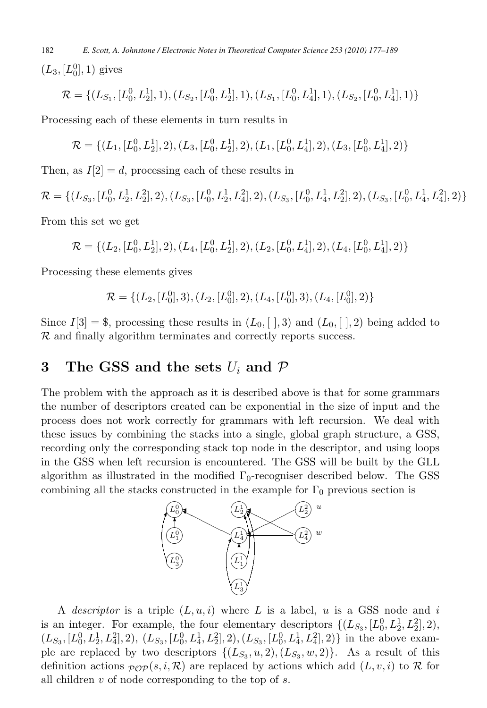<span id="page-5-0"></span> $(L_3, [L_0^0], 1)$  gives 182 *E. Scott, A. Johnstone / Electronic Notes in Theoretical Computer Science 253 (2010) 177–189*

$$
\mathcal{R} = \{ (L_{S_1}, [L_0^0, L_2^1], 1), (L_{S_2}, [L_0^0, L_2^1], 1), (L_{S_1}, [L_0^0, L_4^1], 1), (L_{S_2}, [L_0^0, L_4^1], 1) \}
$$

Processing each of these elements in turn results in

$$
\mathcal{R} = \{ (L_1, [L_0^0, L_2^1], 2), (L_3, [L_0^0, L_2^1], 2), (L_1, [L_0^0, L_4^1], 2), (L_3, [L_0^0, L_4^1], 2) \}
$$

Then, as  $I[2] = d$ , processing each of these results in

$$
\mathcal{R} = \{ (L_{S_3}, [L_0^0, L_2^1, L_2^2], 2), (L_{S_3}, [L_0^0, L_2^1, L_4^2], 2), (L_{S_3}, [L_0^0, L_4^1, L_2^2], 2), (L_{S_3}, [L_0^0, L_4^1, L_4^2], 2) \}
$$

From this set we get

$$
\mathcal{R} = \{ (L_2, [L_0^0, L_2^1], 2), (L_4, [L_0^0, L_2^1], 2), (L_2, [L_0^0, L_4^1], 2), (L_4, [L_0^0, L_4^1], 2) \}
$$

Processing these elements gives

$$
\mathcal{R} = \{ (L_2, [L_0^0], 3), (L_2, [L_0^0], 2), (L_4, [L_0^0], 3), (L_4, [L_0^0], 2) \}
$$

Since  $I[3] =$  \$, processing these results in  $(L_0, [ , ], 3)$  and  $(L_0, [ , ], 2)$  being added to  $\mathcal R$  and finally algorithm terminates and correctly reports success.

# **3** The GSS and the sets  $U_i$  and  $\mathcal{P}$

The problem with the approach as it is described above is that for some grammars the number of descriptors created can be exponential in the size of input and the process does not work correctly for grammars with left recursion. We deal with these issues by combining the stacks into a single, global graph structure, a GSS, recording only the corresponding stack top node in the descriptor, and using loops in the GSS when left recursion is encountered. The GSS will be built by the GLL algorithm as illustrated in the modified  $\Gamma_0$ -recogniser described below. The GSS combining all the stacks constructed in the example for  $\Gamma_0$  previous section is



A descriptor is a triple  $(L, u, i)$  where L is a label, u is a GSS node and i is an integer. For example, the four elementary descriptors  $\{(L_{S_3}, [L_0^0, L_2^1, L_2^2], 2),$  $(L_{S_3}, [L_0^0, L_2^1, L_4^2], 2), (L_{S_3}, [L_0^0, L_4^1, L_2^2], 2), (L_{S_3}, [L_0^0, L_4^1, L_4^2], 2)\}$  in the above example are replaced by two descriptors  $\{(L_{S_3}, u, 2), (L_{S_3}, w, 2)\}\$ . As a result of this definition actions  $p_{OP}(s, i, \mathcal{R})$  are replaced by actions which add  $(L, v, i)$  to  $\mathcal R$  for all children v of node corresponding to the top of s.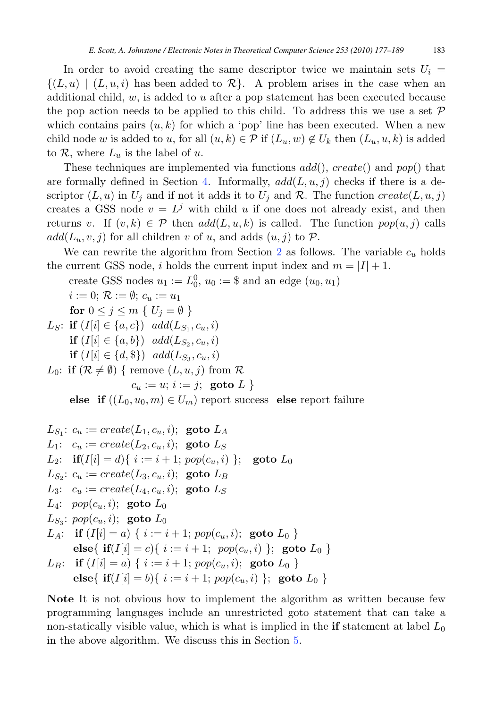In order to avoid creating [th](#page-7-0)e same descriptor twice we maintain sets  $U_i =$  $\{(L, u) \mid (L, u, i) \text{ has been added to } \mathcal{R}\}.$  A problem arises in the case when an additional child,  $w$ , is added to  $u$  after a pop statement has been executed because the pop action needs to be applied to this child. To address this we use a set  $\mathcal P$ which contains pairs  $(u, k)$  for which a 'pop' line has been executed. When a new child node w is added to u, for all  $(u, k) \in \mathcal{P}$  if  $(L_u, w) \notin U_k$  $(L_u, w) \notin U_k$  $(L_u, w) \notin U_k$  then  $(L_u, u, k)$  is added to  $\mathcal{R}$ , where  $L_u$  is the label of u.

These techniques are implemented via functions  $add()$ ,  $create()$  and  $pop()$  that are formally defined in Section 4. Informally,  $add(L, u, j)$  checks if there is a descriptor  $(L, u)$  in  $U_j$  and if not it adds it to  $U_j$  and  $\mathcal{R}$ . The function create( $L, u, j$ ) creates a GSS node  $v = L^j$  with child u if one does not already exist, and then returns v. If  $(v, k) \in \mathcal{P}$  then  $add(L, u, k)$  is called. The function  $pop(u, j)$  calls  $add(L_u, v, j)$  for all children v of u, and adds  $(u, j)$  to  $P$ .

We can rewrite the algorithm from Section 2 as follows. The variable  $c<sub>u</sub>$  holds the current GSS node, i holds the current input index and  $m = |I| + 1$ .

create GSS nodes  $u_1 := L_0^0$ ,  $u_0 :=$  \$ and an edge  $(u_0, u_1)$  $i := 0; \mathcal{R} := \emptyset; c_u := u_1$ **for**  $0 \leq j \leq m \{ U_j = \emptyset \}$ *L<sub>S</sub>*: **if**  $(I[i] \in \{a, c\})$  add $(L_{S_1}, c_u, i)$ **if**  $(I[i] \in \{a, b\})$  add $(L_{S_2}, c_u, i)$ **if**  $(I[i] \in \{d, \$\})$  add $(L_{S_3}, c_u, i)$ L<sub>0</sub>: **if**  $(\mathcal{R} \neq \emptyset)$  { remove  $(L, u, j)$  from  $\mathcal{R}$  $c_u := u$ ;  $i := j$ ; goto  $L$  } **else if**  $((L_0, u_0, m) \in U_m)$  report success **else** report failure

 $L_{S_1}: c_u := create(L_1, c_u, i);$  goto  $L_A$  $L_1: c_u := create(L_2, c_u, i);$  goto  $L_S$ *L*<sub>2</sub>: **if**(*I*[*i*] = *d*){ *i* := *i* + 1; *pop*( $c_u$ , *i*) }; **goto** *L*<sub>0</sub>  $L_{S_2}: c_u := create(L_3, c_u, i);$  goto  $L_B$ L<sub>3</sub>:  $c_u := create(L_4, c_u, i);$  goto  $L_S$ L<sub>4</sub>:  $pop(c_u, i);$  **goto**  $L_0$  $L_{S_3}: pop(c_u, i);$  goto  $L_0$ *L*<sub>A</sub>: **if**  $(I[i] = a) \{ i := i + 1; pop(c_u, i); \text{goto } L_0 \}$ **else**{ **if**(I[i] = c){ i := i + 1;  $pop(c_u, i)$  }; **goto**  $L_0$  } *L*<sub>B</sub>: **if**  $(I[i] = a) \{ i := i + 1; pop(c_u, i); \text{goto } L_0 \}$ **else**{ **if**(I[i] = b){ i := i + 1; pop( $c_u$ , i) }; **goto**  $L_0$  }

**Note** It is not obvious how to implement the algorithm as written because few programming languages include an unrestricted goto statement that can take a non-statically visible value, which is what is implied in the **if** statement at label  $L_0$ in the above algorithm. We discuss this in Section 5.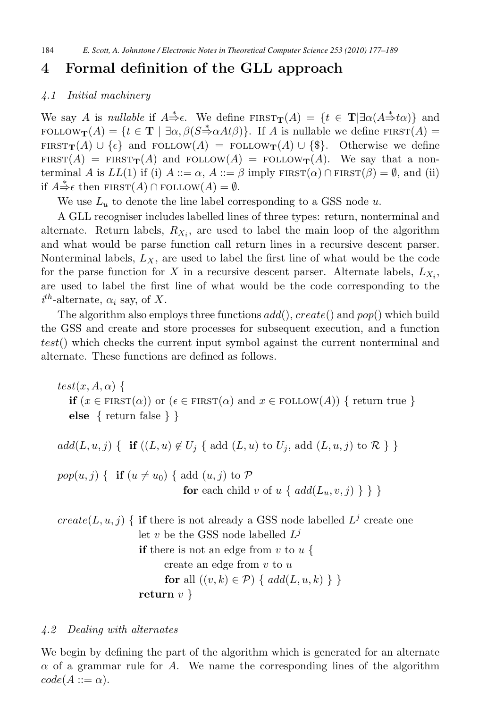# <span id="page-7-0"></span>**4 Formal definition of the GLL approach**

### 4.1 Initial machinery

We say A is nullable if  $A \stackrel{*}{\Rightarrow} \epsilon$ . We define  $FIRST_{\bf T}(A) = \{t \in {\bf T} | \exists \alpha (A \stackrel{*}{\Rightarrow} t\alpha)\}$  and<br>FOLLOW<sub>IT</sub>(A) =  $\{t \in {\bf T} | \exists \alpha \beta (S \stackrel{*}{\Rightarrow} \alpha 4t\beta)\}$ . If A is nullable we define  $FIRST(A)$  = FOLLOW**T**(A) = { $t \in \mathbf{T} \mid \exists \alpha, \beta(S \stackrel{*}{\Rightarrow} \alpha At\beta)$ }. If A is nullable we define FIRST(A) = FIRST<sub>π</sub>(A) +  $\beta \in \mathbb{R}$  or  $\beta$  and FOLLOW<sub>*n*</sub>(A) = FOLLOW<sub>*n*</sub>(A) +  $\beta \in \mathbb{R}$ . Otherwise we define FIRST<sub>T</sub>(A) ∪ { $\epsilon$ } and FOLLOW(A) = FOLLOW<sub>T</sub>(A) ∪ {\$}. Otherwise we define  $FIRST(A) = FIRST<sub>T</sub>(A)$  and  $FOLLOW(A) = FOLLOW<sub>T</sub>(A)$ . We say that a nonterminal A is  $LL(1)$  if (i)  $A ::= \alpha, A ::= \beta$  imply  $FIRST(\alpha) \cap FIRST(\beta) = \emptyset$ , and (ii) if  $A \stackrel{*}{\Rightarrow} \epsilon$  then FIRST(A) ∩ FOLLOW(A) =  $\emptyset$ .

We use  $L_u$  to denote the line label corresponding to a GSS node u.

A GLL recogniser includes labelled lines of three types: return, nonterminal and alternate. Return labels,  $R_{X_i}$ , are used to label the main loop of the algorithm and what would be parse function call return lines in a recursive descent parser. Nonterminal labels,  $L_X$ , are used to label the first line of what would be the code for the parse function for X in a recursive descent parser. Alternate labels,  $L_{X_i}$ , are used to label the first line of what would be the code corresponding to the  $i^{th}$ -alternate,  $\alpha_i$  say, of X.

The algorithm also employs three functions  $add()$ ,  $create()$  and  $pop()$  which build the GSS and create and store processes for subsequent execution, and a function test() which checks the current input symbol against the current nonterminal and alternate. These functions are defined as follows.

 $test(x, A, \alpha)$  { **if**  $(x \in \text{FIRST}(\alpha))$  or  $(\epsilon \in \text{FIRST}(\alpha)$  and  $x \in \text{FOLLOW}(A))$  { return true } **else** { return false } }  $add(L, u, j) \{ \text{ if } ((L, u) \notin U_j \{ \text{ add } (L, u) \text{ to } U_j, \text{ add } (L, u, j) \text{ to } \mathcal{R} \} \}$ pop $(u, j)$  { **if**  $(u \neq u_0)$  { add  $(u, j)$  to P **for** each child v of u {  $add(L_u, v, j)$  } } create(L, u, j)  $\{$  **if** there is not already a GSS node labelled  $L^j$  create one let v be the GSS node labelled  $L^j$ 

```
if there is not an edge from v to u {
create an edge from v to ufor all ((v, k) \in \mathcal{P}) \{ add(L, u, k) \}return v }
```
### 4.2 Dealing with alternates

We begin by defining the part of the algorithm which is generated for an alternate  $\alpha$  of a grammar rule for A. We name the corresponding lines of the algorithm  $code(A ::= \alpha).$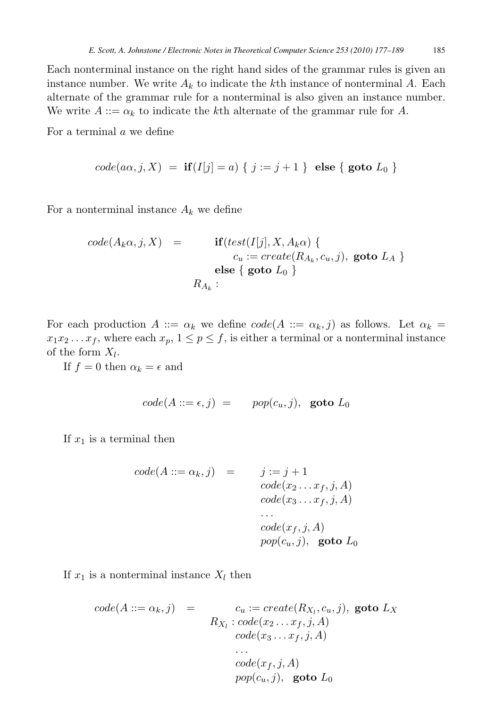Each nonterminal instance on the right hand sides of the grammar rules is given an instance number. We write  $A_k$  to indicate the kth instance of nonterminal A. Each alternate of the grammar rule for a nonterminal is also given an instance number. We write  $A ::= \alpha_k$  to indicate the kth alternate of the grammar rule for A.

For a terminal a we define

$$
code(a\alpha, j, X) = \mathbf{if}(I[j] = a) \{ j := j + 1 \} \text{ else } \{ \text{goto } L_0 \}
$$

For a nonterminal instance  $A_k$  we define

$$
code(A_k\alpha, j, X) = \textbf{if}(test(I[j], X, A_k\alpha) \{ \newline c_u := create(R_{A_k}, c_u, j), \textbf{goto } L_A \} \newline \textbf{else } \{ \textbf{goto } L_0 \} \newline R_{A_k}:
$$

For each production  $A ::= \alpha_k$  we define  $code(A ::= \alpha_k, j)$  as follows. Let  $\alpha_k =$  $x_1x_2 \ldots x_f$ , where each  $x_p$ ,  $1 \leq p \leq f$ , is either a terminal or a nonterminal instance of the form  $X_l$ .

If  $f = 0$  then  $\alpha_k = \epsilon$  and

$$
code(A ::= \epsilon, j) = pop(c_u, j), \text{goto } L_0
$$

If  $x_1$  is a terminal then

$$
code(A ::= \alpha_k, j) = j := j + 1
$$
  
\n
$$
code(x_2 ... x_f, j, A)
$$
  
\n
$$
code(x_3 ... x_f, j, A)
$$
  
\n...  
\n
$$
code(x_f, j, A)
$$
  
\n
$$
pop(c_u, j),
$$
goto  $L_0$ 

If  $x_1$  is a nonterminal instance  $X_l$  then

$$
code(A ::= \alpha_k, j) = c_u := create(R_{X_l}, c_u, j), \text{goto } L_X
$$
  
\n
$$
R_{X_l} : code(x_2 \dots x_f, j, A)
$$
  
\n
$$
code(x_3 \dots x_f, j, A)
$$
  
\n
$$
\dots
$$
  
\n
$$
code(x_f, j, A)
$$
  
\n
$$
pop(c_u, j), \text{goto } L_0
$$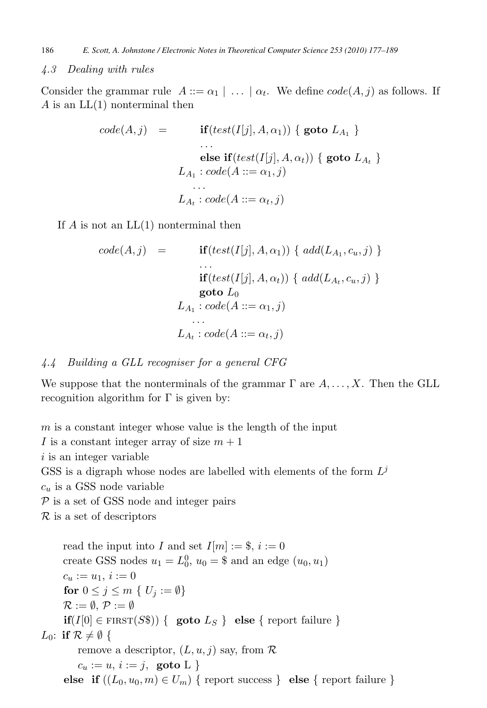### 4.3 Dealing with rules

Consider the grammar rule  $A ::= \alpha_1 | \ldots | \alpha_t$ . We define  $code(A, j)$  as follows. If A is an  $LL(1)$  nonterminal then

$$
code(A,j) = \textbf{if}(test(I[j], A, \alpha_1)) \{ \textbf{goto } L_{A_1} \}
$$
  
...  
else if $(test(I[j], A, \alpha_t)) \{ \textbf{goto } L_{A_t} \}$   
 $L_{A_1} : code(A ::= \alpha_1, j)$   
...  
 $L_{A_t} : code(A ::= \alpha_t, j)$ 

If  $A$  is not an  $LL(1)$  nonterminal then

$$
code(A, j) = \textbf{if}(test(I[j], A, \alpha_1)) \{ add(L_{A_1}, c_u, j) \}
$$
  
\n
$$
\cdots
$$
  
\n
$$
\textbf{if}(test(I[j], A, \alpha_t)) \{ add(L_{A_t}, c_u, j) \}
$$
  
\n
$$
\textbf{goto } L_0
$$
  
\n
$$
L_{A_1} : code(A ::= \alpha_1, j)
$$
  
\n
$$
\cdots
$$
  
\n
$$
L_{A_t} : code(A ::= \alpha_t, j)
$$

### 4.4 Building a GLL recogniser for a general CFG

We suppose that the nonterminals of the grammar  $\Gamma$  are  $A, \ldots, X$ . Then the GLL recognition algorithm for  $\Gamma$  is given by:

 $m$  is a constant integer whose value is the length of the input I is a constant integer array of size  $m+1$  $i$  is an integer variable GSS is a digraph whose nodes are labelled with elements of the form  $L^j$  $c_u$  is a GSS node variable  $P$  is a set of GSS node and integer pairs  $\mathcal R$  is a set of descriptors read the input into I and set  $I[m] := \$, i := 0$ create GSS nodes  $u_1 = L_0^0$ ,  $u_0 = $$  and an edge  $(u_0, u_1)$  $c_u := u_1, i := 0$ **for**  $0 \leq j \leq m \{ U_j := \emptyset \}$  $\mathcal{R} := \emptyset$ ,  $\mathcal{P} := \emptyset$ **if**( $I[0]$  ∈ FIRST( $S$ \$)) { **goto**  $L_S$  } **else** { report failure } L<sub>0</sub>: **if**  $\mathcal{R} \neq \emptyset$  { remove a descriptor,  $(L, u, j)$  say, from  $\mathcal R$  $c_u := u, i := j$ , goto L  $\}$ **else** if  $((L_0, u_0, m) \in U_m)$  { report success } **else** { report failure }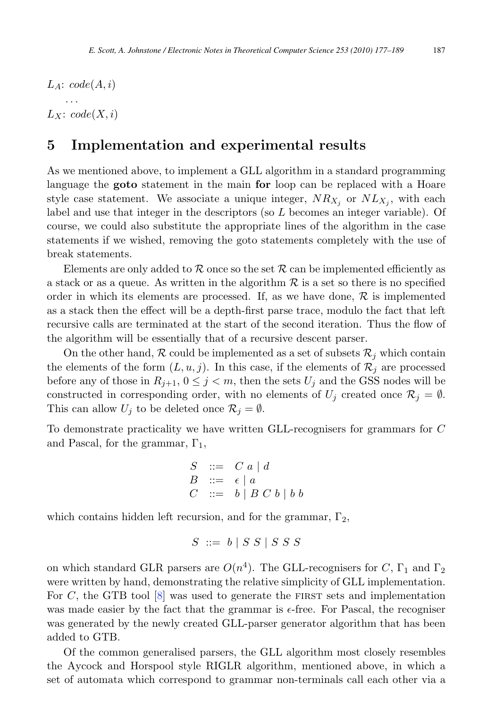$L_A: code(A, i)$ ...  $L_X$ :  $code(X, i)$ 

# **5 Implementation and experimental results**

As we mentioned above, to implement a GLL algorithm in a standard programming language the **goto** statement in the main **for** loop can be replaced with a Hoare style case statement. We associate a unique integer,  $NR_{X_i}$  or  $NL_{X_i}$ , with each label and use that integer in the descriptors (so L becomes an integer variable). Of course, we could also substitute the appropriate lines of the algorithm in the case statements if we wished, removing the goto statements completely with the use of break statements.

Elements are only added to  $\mathcal R$  once so the set  $\mathcal R$  can be implemented efficiently as a stack or as a queue. As written in the algorithm  $\mathcal R$  is a set so there is no specified order in which its elements are processed. If, as we have done,  $\mathcal R$  is implemented as a stack then the effect will be a depth-first parse trace, modulo the fact that left recursive calls are terminated at the start of the second iteration. Thus the flow of the algorithm will be essentially that of a recursive descent parser.

On the other hand,  $\mathcal R$  could be implemented as a set of subsets  $\mathcal R_i$  which contain the elements of the form  $(L, u, j)$ . In this case, if the elements of  $\mathcal{R}_j$  are processed before any of those in  $R_{j+1}$ ,  $0 \le j < m$ , then the sets  $U_j$  and the GSS nodes will be constructed in corresponding order, with no elements of  $U_j$  created once  $\mathcal{R}_j = \emptyset$ . This can allow  $U_j$  to be deleted once  $\mathcal{R}_j = \emptyset$ .

To demonstrate practicality we have written GLL-recognisers for grammars for C and Pascal, for the grammar,  $\Gamma_1$ ,

$$
S ::= C a | d
$$
  
\n
$$
B ::= \epsilon | a
$$
  
\n
$$
C ::= b | B C b | b b
$$

which contains hidden left recursion, and for the grammar,  $\Gamma_2$ ,

$$
S \ ::= \ b \mid S \ S \mid S \ S \ S
$$

on which standard GLR parsers are  $O(n^4)$ . The GLL-recognisers for C,  $\Gamma_1$  and  $\Gamma_2$ were written by hand, demonstrating the relative simplicity of GLL implementation. For C, the GTB tool  $[8]$  was used to generate the FIRST sets and implementation was made easier by the fact that the grammar is  $\epsilon$ -free. For Pascal, the recogniser was generated by the newly created GLL-parser generator algorithm that has been added to GTB.

Of the common generalised parsers, the GLL algorithm most closely resembles the Aycock and Horspool style RIGLR algorithm, mentioned above, in which a set of automata which correspond to grammar non-terminals call each other via a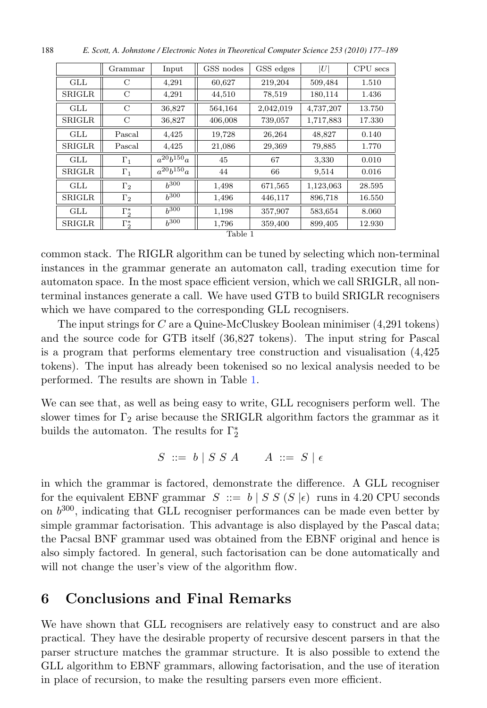|                      | Grammar      | Input            | GSS nodes | GSS edges | $\left  U\right $ | CPU secs |
|----------------------|--------------|------------------|-----------|-----------|-------------------|----------|
| $\operatorname{GLL}$ | С            | 4,291            | 60,627    | 219,204   | 509,484           | 1.510    |
| <b>SRIGLR</b>        | С            | 4,291            | 44,510    | 78,519    | 180,114           | 1.436    |
| <b>GLL</b>           | $\rm C$      | 36,827           | 564,164   | 2,042,019 | 4,737,207         | 13.750   |
| <b>SRIGLR</b>        | С            | 36,827           | 406,008   | 739,057   | 1,717,883         | 17.330   |
| <b>GLL</b>           | Pascal       | 4,425            | 19,728    | 26,264    | 48,827            | 0.140    |
| <b>SRIGLR</b>        | Pascal       | 4,425            | 21,086    | 29,369    | 79,885            | 1.770    |
| GLL                  | $\Gamma_1$   | $a^{20}b^{150}a$ | 45        | 67        | 3,330             | 0.010    |
| <b>SRIGLR</b>        | $\Gamma_1$   | $a^{20}b^{150}a$ | 44        | 66        | 9,514             | 0.016    |
| <b>GLL</b>           | $\Gamma_2$   | $h^{300}$        | 1,498     | 671,565   | 1,123,063         | 28.595   |
| <b>SRIGLR</b>        | $\Gamma_2$   | $h^{300}$        | 1,496     | 446,117   | 896,718           | 16.550   |
| <b>GLL</b>           | $\Gamma_2^*$ | $h^{300}$        | 1,198     | 357,907   | 583,654           | 8.060    |
| <b>SRIGLR</b>        | $\Gamma_2^*$ | $h^{300}$        | 1,796     | 359,400   | 899,405           | 12.930   |
| Table 1              |              |                  |           |           |                   |          |

188 *E. Scott, A. Johnstone / Electronic Notes in Theoretical Computer Science 253 (2010) 177–189*

common stack. The RIGLR algorithm can be tuned by selecting which non-terminal instances in the grammar generate an automaton call, trading execution time for automaton space. In the most space efficient version, which we call SRIGLR, all nonterminal instances generate a call. We have used GTB to build SRIGLR recognisers which we have compared to the corresponding GLL recognisers.

The input strings for C are a Quine-McCluskey Boolean minimiser (4,291 tokens) and the source code for GTB itself (36,827 tokens). The input string for Pascal is a program that performs elementary tree construction and visualisation (4,425 tokens). The input has already been tokenised so no lexical analysis needed to be performed. The results are shown in Table 1.

We can see that, as well as being easy to write, GLL recognisers perform well. The slower times for  $\Gamma_2$  arise because the SRIGLR algorithm factors the grammar as it builds the automaton. The results for  $\Gamma_2^*$ 

$$
S \ ::= \ b \ | \ S \ S \ A \qquad A \ ::= \ S \ | \ \epsilon
$$

in which the grammar is factored, demonstrate the difference. A GLL recogniser for the equivalent EBNF grammar  $S := b | S S (S | \epsilon)$  runs in 4.20 CPU seconds on  $b^{300}$ , indicating that GLL recogniser performances can be made even better by simple grammar factorisation. This advantage is also displayed by the Pascal data; the Pacsal BNF grammar used was obtained from the EBNF original and hence is also simply factored. In general, such factorisation can be done automatically and will not change the user's view of the algorithm flow.

### **6 Conclusions and Final Remarks**

We have shown that GLL recognisers are relatively easy to construct and are also practical. They have the desirable property of recursive descent parsers in that the parser structure matches the grammar structure. It is also possible to extend the GLL algorithm to EBNF grammars, allowing factorisation, and the use of iteration in place of recursion, to make the resulting parsers even more efficient.